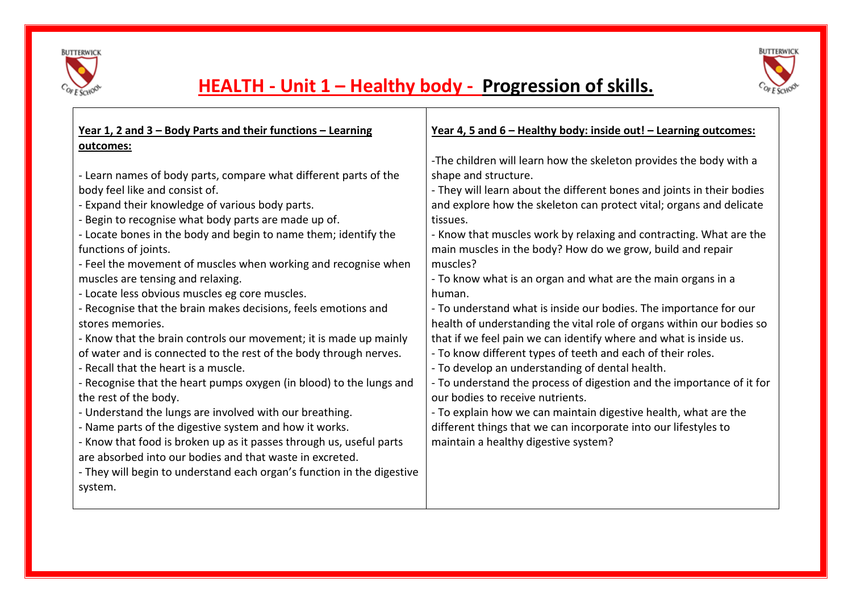

Е



# **HEALTH - Unit 1 – Healthy body - Progression of skills.**

┰

| Year 1, 2 and 3 - Body Parts and their functions - Learning                                                                                                                                                                                                                                                                                                                                                                                                                                                                                                                                                                                                                                                                                                                                                                                                                                                                                                                                                                                                                                                    | Year 4, 5 and 6 - Healthy body: inside out! - Learning outcomes:                                                                                                                                                                                                                                                                                                                                                                                                                                                                                                                                                                                                                                                                                                                                                                                                                                                                                                                                                                                                                                                  |
|----------------------------------------------------------------------------------------------------------------------------------------------------------------------------------------------------------------------------------------------------------------------------------------------------------------------------------------------------------------------------------------------------------------------------------------------------------------------------------------------------------------------------------------------------------------------------------------------------------------------------------------------------------------------------------------------------------------------------------------------------------------------------------------------------------------------------------------------------------------------------------------------------------------------------------------------------------------------------------------------------------------------------------------------------------------------------------------------------------------|-------------------------------------------------------------------------------------------------------------------------------------------------------------------------------------------------------------------------------------------------------------------------------------------------------------------------------------------------------------------------------------------------------------------------------------------------------------------------------------------------------------------------------------------------------------------------------------------------------------------------------------------------------------------------------------------------------------------------------------------------------------------------------------------------------------------------------------------------------------------------------------------------------------------------------------------------------------------------------------------------------------------------------------------------------------------------------------------------------------------|
| outcomes:<br>- Learn names of body parts, compare what different parts of the<br>body feel like and consist of.<br>- Expand their knowledge of various body parts.<br>- Begin to recognise what body parts are made up of.<br>- Locate bones in the body and begin to name them; identify the<br>functions of joints.<br>- Feel the movement of muscles when working and recognise when<br>muscles are tensing and relaxing.<br>- Locate less obvious muscles eg core muscles.<br>- Recognise that the brain makes decisions, feels emotions and<br>stores memories.<br>- Know that the brain controls our movement; it is made up mainly<br>of water and is connected to the rest of the body through nerves.<br>- Recall that the heart is a muscle.<br>- Recognise that the heart pumps oxygen (in blood) to the lungs and<br>the rest of the body.<br>- Understand the lungs are involved with our breathing.<br>- Name parts of the digestive system and how it works.<br>- Know that food is broken up as it passes through us, useful parts<br>are absorbed into our bodies and that waste in excreted. | -The children will learn how the skeleton provides the body with a<br>shape and structure.<br>- They will learn about the different bones and joints in their bodies<br>and explore how the skeleton can protect vital; organs and delicate<br>tissues.<br>- Know that muscles work by relaxing and contracting. What are the<br>main muscles in the body? How do we grow, build and repair<br>muscles?<br>- To know what is an organ and what are the main organs in a<br>human.<br>- To understand what is inside our bodies. The importance for our<br>health of understanding the vital role of organs within our bodies so<br>that if we feel pain we can identify where and what is inside us.<br>- To know different types of teeth and each of their roles.<br>- To develop an understanding of dental health.<br>- To understand the process of digestion and the importance of it for<br>our bodies to receive nutrients.<br>- To explain how we can maintain digestive health, what are the<br>different things that we can incorporate into our lifestyles to<br>maintain a healthy digestive system? |
| - They will begin to understand each organ's function in the digestive<br>system.                                                                                                                                                                                                                                                                                                                                                                                                                                                                                                                                                                                                                                                                                                                                                                                                                                                                                                                                                                                                                              |                                                                                                                                                                                                                                                                                                                                                                                                                                                                                                                                                                                                                                                                                                                                                                                                                                                                                                                                                                                                                                                                                                                   |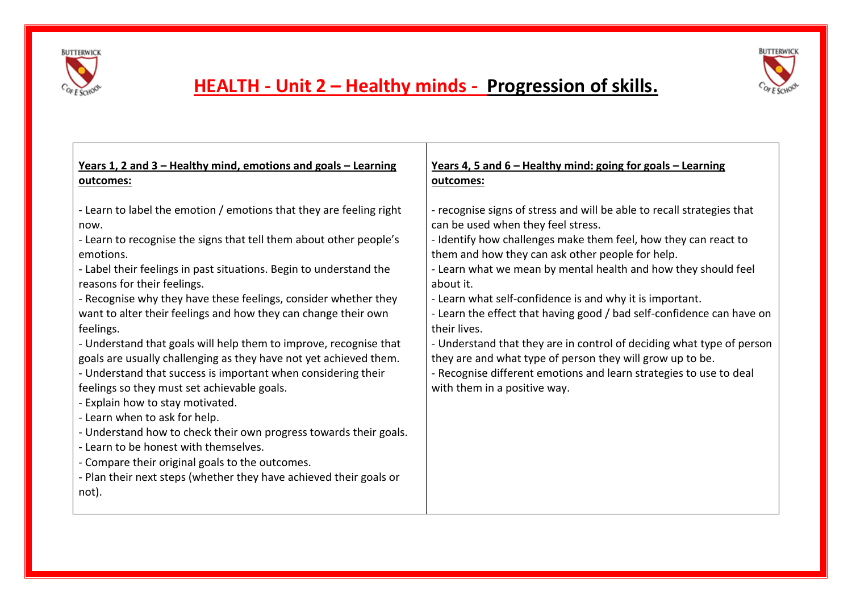



# **HEALTH - Unit 2 – Healthy minds - Progression of skills.**

| Years 1, 2 and 3 – Healthy mind, emotions and goals – Learning                                                                                                                                                                                                                                                                                                                                                                                                                                                                                                                                                                                                                                                                                                                                                                                                                                                                                                                                       | <u>Years 4, 5 and 6 – Healthy mind: going for goals – Learning</u>                                                                                                                                                                                                                                                                                                                                                                                                                                                                                                                                                                                                                                                  |
|------------------------------------------------------------------------------------------------------------------------------------------------------------------------------------------------------------------------------------------------------------------------------------------------------------------------------------------------------------------------------------------------------------------------------------------------------------------------------------------------------------------------------------------------------------------------------------------------------------------------------------------------------------------------------------------------------------------------------------------------------------------------------------------------------------------------------------------------------------------------------------------------------------------------------------------------------------------------------------------------------|---------------------------------------------------------------------------------------------------------------------------------------------------------------------------------------------------------------------------------------------------------------------------------------------------------------------------------------------------------------------------------------------------------------------------------------------------------------------------------------------------------------------------------------------------------------------------------------------------------------------------------------------------------------------------------------------------------------------|
| outcomes:                                                                                                                                                                                                                                                                                                                                                                                                                                                                                                                                                                                                                                                                                                                                                                                                                                                                                                                                                                                            | outcomes:                                                                                                                                                                                                                                                                                                                                                                                                                                                                                                                                                                                                                                                                                                           |
| - Learn to label the emotion / emotions that they are feeling right<br>now.<br>- Learn to recognise the signs that tell them about other people's<br>emotions.<br>- Label their feelings in past situations. Begin to understand the<br>reasons for their feelings.<br>- Recognise why they have these feelings, consider whether they<br>want to alter their feelings and how they can change their own<br>feelings.<br>- Understand that goals will help them to improve, recognise that<br>goals are usually challenging as they have not yet achieved them.<br>- Understand that success is important when considering their<br>feelings so they must set achievable goals.<br>- Explain how to stay motivated.<br>- Learn when to ask for help.<br>- Understand how to check their own progress towards their goals.<br>- Learn to be honest with themselves.<br>- Compare their original goals to the outcomes.<br>- Plan their next steps (whether they have achieved their goals or<br>not). | - recognise signs of stress and will be able to recall strategies that<br>can be used when they feel stress.<br>- Identify how challenges make them feel, how they can react to<br>them and how they can ask other people for help.<br>- Learn what we mean by mental health and how they should feel<br>about it.<br>- Learn what self-confidence is and why it is important.<br>- Learn the effect that having good / bad self-confidence can have on<br>their lives.<br>- Understand that they are in control of deciding what type of person<br>they are and what type of person they will grow up to be.<br>- Recognise different emotions and learn strategies to use to deal<br>with them in a positive way. |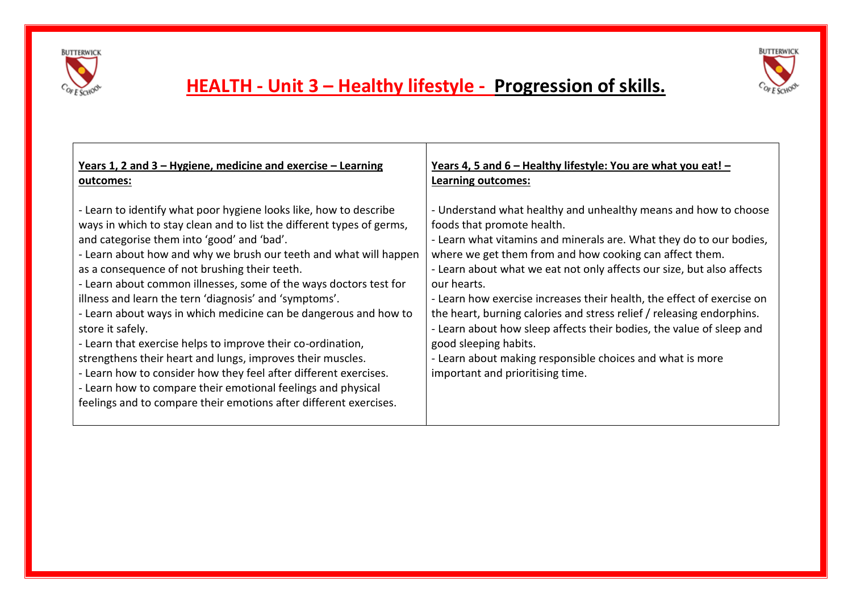



# **HEALTH - Unit 3 – Healthy lifestyle - Progression of skills.**

| <u>Years 1, 2 and 3 – Hygiene, medicine and exercise – Learning</u>                                                                                                                                                                                                                                                                                                                                                                                                                                                                                                                                                                                                                                                                                                                                                                                                         | <u>Years 4, 5 and 6 – Healthy lifestyle: You are what you eat! –</u>                                                                                                                                                                                                                                                                                                                                                                                                                                                                                                                                                                                                         |
|-----------------------------------------------------------------------------------------------------------------------------------------------------------------------------------------------------------------------------------------------------------------------------------------------------------------------------------------------------------------------------------------------------------------------------------------------------------------------------------------------------------------------------------------------------------------------------------------------------------------------------------------------------------------------------------------------------------------------------------------------------------------------------------------------------------------------------------------------------------------------------|------------------------------------------------------------------------------------------------------------------------------------------------------------------------------------------------------------------------------------------------------------------------------------------------------------------------------------------------------------------------------------------------------------------------------------------------------------------------------------------------------------------------------------------------------------------------------------------------------------------------------------------------------------------------------|
| outcomes:                                                                                                                                                                                                                                                                                                                                                                                                                                                                                                                                                                                                                                                                                                                                                                                                                                                                   | <b>Learning outcomes:</b>                                                                                                                                                                                                                                                                                                                                                                                                                                                                                                                                                                                                                                                    |
| - Learn to identify what poor hygiene looks like, how to describe<br>ways in which to stay clean and to list the different types of germs,<br>and categorise them into 'good' and 'bad'.<br>- Learn about how and why we brush our teeth and what will happen<br>as a consequence of not brushing their teeth.<br>- Learn about common illnesses, some of the ways doctors test for<br>illness and learn the tern 'diagnosis' and 'symptoms'.<br>- Learn about ways in which medicine can be dangerous and how to<br>store it safely.<br>- Learn that exercise helps to improve their co-ordination,<br>strengthens their heart and lungs, improves their muscles.<br>- Learn how to consider how they feel after different exercises.<br>- Learn how to compare their emotional feelings and physical<br>feelings and to compare their emotions after different exercises. | - Understand what healthy and unhealthy means and how to choose<br>foods that promote health.<br>- Learn what vitamins and minerals are. What they do to our bodies,<br>where we get them from and how cooking can affect them.<br>- Learn about what we eat not only affects our size, but also affects<br>our hearts.<br>- Learn how exercise increases their health, the effect of exercise on<br>the heart, burning calories and stress relief / releasing endorphins.<br>- Learn about how sleep affects their bodies, the value of sleep and<br>good sleeping habits.<br>- Learn about making responsible choices and what is more<br>important and prioritising time. |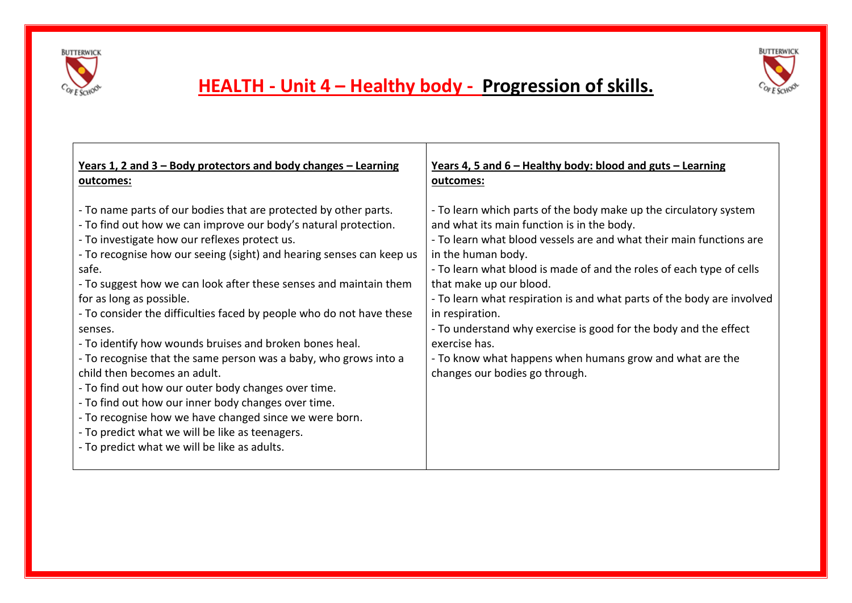



# **HEALTH - Unit 4 – Healthy body - Progression of skills.**

| Years 1, 2 and $3 -$ Body protectors and body changes $-$ Learning                                                                                                                                                                                                                                                                                                                                                                                                                                                                                                                                                                                                                                                                                                                                                                                                                                  | Years 4, 5 and $6$ – Healthy body: blood and guts – Learning                                                                                                                                                                                                                                                                                                                                                                                                                                                                                                                                    |
|-----------------------------------------------------------------------------------------------------------------------------------------------------------------------------------------------------------------------------------------------------------------------------------------------------------------------------------------------------------------------------------------------------------------------------------------------------------------------------------------------------------------------------------------------------------------------------------------------------------------------------------------------------------------------------------------------------------------------------------------------------------------------------------------------------------------------------------------------------------------------------------------------------|-------------------------------------------------------------------------------------------------------------------------------------------------------------------------------------------------------------------------------------------------------------------------------------------------------------------------------------------------------------------------------------------------------------------------------------------------------------------------------------------------------------------------------------------------------------------------------------------------|
| outcomes:                                                                                                                                                                                                                                                                                                                                                                                                                                                                                                                                                                                                                                                                                                                                                                                                                                                                                           | outcomes:                                                                                                                                                                                                                                                                                                                                                                                                                                                                                                                                                                                       |
| - To name parts of our bodies that are protected by other parts.<br>- To find out how we can improve our body's natural protection.<br>- To investigate how our reflexes protect us.<br>- To recognise how our seeing (sight) and hearing senses can keep us<br>safe.<br>- To suggest how we can look after these senses and maintain them<br>for as long as possible.<br>- To consider the difficulties faced by people who do not have these<br>senses.<br>- To identify how wounds bruises and broken bones heal.<br>- To recognise that the same person was a baby, who grows into a<br>child then becomes an adult.<br>- To find out how our outer body changes over time.<br>- To find out how our inner body changes over time.<br>- To recognise how we have changed since we were born.<br>- To predict what we will be like as teenagers.<br>- To predict what we will be like as adults. | - To learn which parts of the body make up the circulatory system<br>and what its main function is in the body.<br>- To learn what blood vessels are and what their main functions are<br>in the human body.<br>- To learn what blood is made of and the roles of each type of cells<br>that make up our blood.<br>- To learn what respiration is and what parts of the body are involved<br>in respiration.<br>- To understand why exercise is good for the body and the effect<br>exercise has.<br>- To know what happens when humans grow and what are the<br>changes our bodies go through. |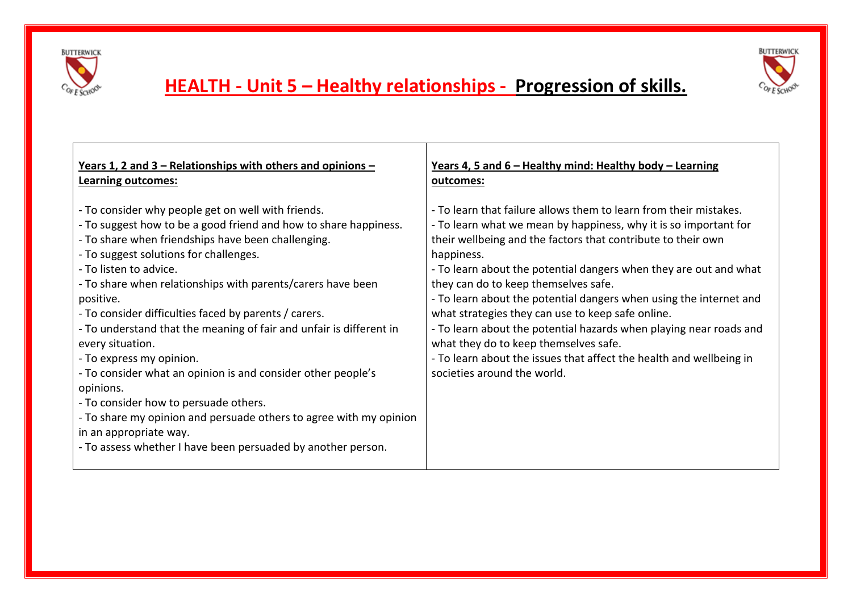



# **HEALTH - Unit 5 – Healthy relationships - Progression of skills.**

| Years 1, 2 and 3 – Relationships with others and opinions –                                                                                                                                                                                                                                                                                                                                                                                                                                                                                                                                                                                                                                                                                                                                        | Years 4, 5 and 6 - Healthy mind: Healthy body - Learning                                                                                                                                                                                                                                                                                                                                                                                                                                                                                                                                                                                                                         |
|----------------------------------------------------------------------------------------------------------------------------------------------------------------------------------------------------------------------------------------------------------------------------------------------------------------------------------------------------------------------------------------------------------------------------------------------------------------------------------------------------------------------------------------------------------------------------------------------------------------------------------------------------------------------------------------------------------------------------------------------------------------------------------------------------|----------------------------------------------------------------------------------------------------------------------------------------------------------------------------------------------------------------------------------------------------------------------------------------------------------------------------------------------------------------------------------------------------------------------------------------------------------------------------------------------------------------------------------------------------------------------------------------------------------------------------------------------------------------------------------|
| Learning outcomes:                                                                                                                                                                                                                                                                                                                                                                                                                                                                                                                                                                                                                                                                                                                                                                                 | outcomes:                                                                                                                                                                                                                                                                                                                                                                                                                                                                                                                                                                                                                                                                        |
| - To consider why people get on well with friends.<br>- To suggest how to be a good friend and how to share happiness.<br>- To share when friendships have been challenging.<br>- To suggest solutions for challenges.<br>- To listen to advice.<br>- To share when relationships with parents/carers have been<br>positive.<br>- To consider difficulties faced by parents / carers.<br>- To understand that the meaning of fair and unfair is different in<br>every situation.<br>- To express my opinion.<br>- To consider what an opinion is and consider other people's<br>opinions.<br>- To consider how to persuade others.<br>- To share my opinion and persuade others to agree with my opinion<br>in an appropriate way.<br>- To assess whether I have been persuaded by another person. | - To learn that failure allows them to learn from their mistakes.<br>- To learn what we mean by happiness, why it is so important for<br>their wellbeing and the factors that contribute to their own<br>happiness.<br>- To learn about the potential dangers when they are out and what<br>they can do to keep themselves safe.<br>- To learn about the potential dangers when using the internet and<br>what strategies they can use to keep safe online.<br>- To learn about the potential hazards when playing near roads and<br>what they do to keep themselves safe.<br>- To learn about the issues that affect the health and wellbeing in<br>societies around the world. |